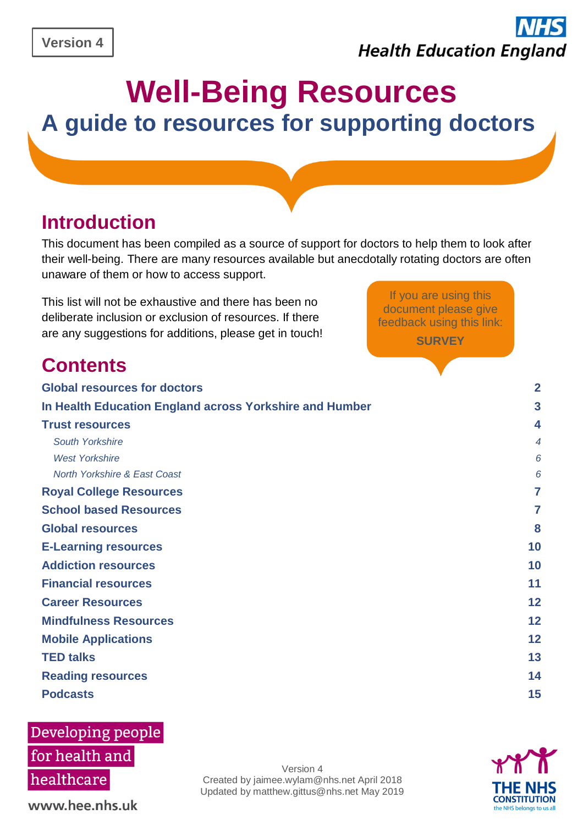# **Health Education England**

If you are using this document please give feedback using this link: **[SURVEY](https://www.surveymonkey.co.uk/r/NFSZWRJ)**

## **Well-Being Resources A guide to resources for supporting doctors**

### **Introduction**

This document has been compiled as a source of support for doctors to help them to look after their well-being. There are many resources available but anecdotally rotating doctors are often unaware of them or how to access support.

This list will not be exhaustive and there has been no deliberate inclusion or exclusion of resources. If there are any suggestions for additions, please get in touch!

### **Contents**

| <b>Global resources for doctors</b>                     | $\overline{2}$ |
|---------------------------------------------------------|----------------|
| In Health Education England across Yorkshire and Humber | 3              |
| <b>Trust resources</b>                                  | 4              |
| South Yorkshire                                         | 4              |
| <b>West Yorkshire</b>                                   | 6              |
| North Yorkshire & East Coast                            | 6              |
| <b>Royal College Resources</b>                          | 7              |
| <b>School based Resources</b>                           | 7              |
| <b>Global resources</b>                                 | 8              |
| <b>E-Learning resources</b>                             | 10             |
| <b>Addiction resources</b>                              | 10             |
| <b>Financial resources</b>                              | 11             |
| <b>Career Resources</b>                                 | 12             |
| <b>Mindfulness Resources</b>                            | 12             |
| <b>Mobile Applications</b>                              | 12             |
| <b>TED talks</b>                                        | 13             |
| <b>Reading resources</b>                                | 14             |
| <b>Podcasts</b>                                         | 15             |
|                                                         |                |

### Developing people

for health and healthcare

www.hee.nhs.uk

Version 4 Created by jaimee.wylam@nhs.net April 2018 Updated by matthew.gittus@nhs.net May 2019

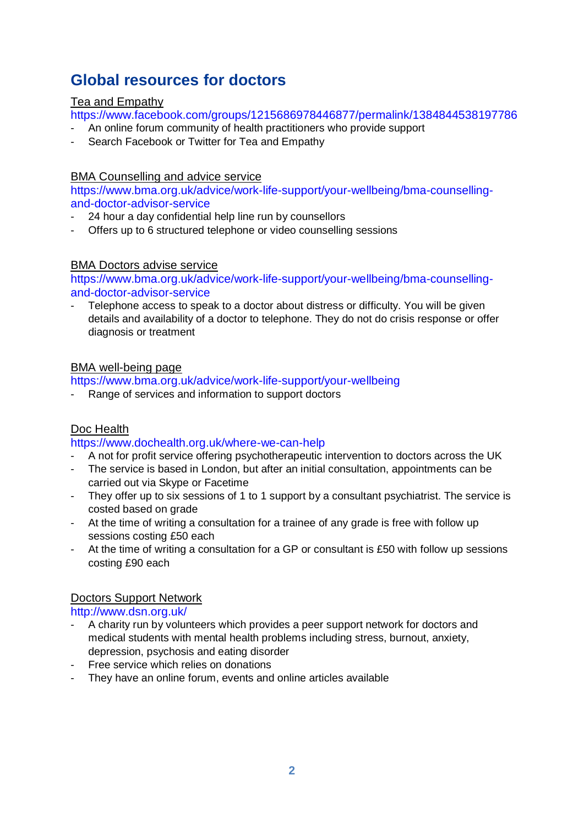### <span id="page-1-0"></span>**Global resources for doctors**

### Tea and Empathy

<https://www.facebook.com/groups/1215686978446877/permalink/1384844538197786>

- An online forum community of health practitioners who provide support
- Search Facebook or Twitter for Tea and Empathy

#### BMA Counselling and advice service

[https://www.bma.org.uk/advice/work-life-support/your-wellbeing/bma-counselling](https://www.bma.org.uk/advice/work-life-support/your-wellbeing/bma-counselling-and-doctor-advisor-service)[and-doctor-advisor-service](https://www.bma.org.uk/advice/work-life-support/your-wellbeing/bma-counselling-and-doctor-advisor-service)

- 24 hour a day confidential help line run by counsellors
- Offers up to 6 structured telephone or video counselling sessions

#### BMA Doctors advise service

[https://www.bma.org.uk/advice/work-life-support/your-wellbeing/bma-counselling](https://www.bma.org.uk/advice/work-life-support/your-wellbeing/bma-counselling-and-doctor-advisor-service)[and-doctor-advisor-service](https://www.bma.org.uk/advice/work-life-support/your-wellbeing/bma-counselling-and-doctor-advisor-service)

Telephone access to speak to a doctor about distress or difficulty. You will be given details and availability of a doctor to telephone. They do not do crisis response or offer diagnosis or treatment

#### BMA well-being page

<https://www.bma.org.uk/advice/work-life-support/your-wellbeing>

Range of services and information to support doctors

### Doc Health

#### <https://www.dochealth.org.uk/where-we-can-help>

- A not for profit service offering psychotherapeutic intervention to doctors across the UK
- The service is based in London, but after an initial consultation, appointments can be carried out via Skype or Facetime
- They offer up to six sessions of 1 to 1 support by a consultant psychiatrist. The service is costed based on grade
- At the time of writing a consultation for a trainee of any grade is free with follow up sessions costing £50 each
- At the time of writing a consultation for a GP or consultant is £50 with follow up sessions costing £90 each

### Doctors Support Network

<http://www.dsn.org.uk/>

- A charity run by volunteers which provides a peer support network for doctors and medical students with mental health problems including stress, burnout, anxiety, depression, psychosis and eating disorder
- Free service which relies on donations
- They have an online forum, events and online articles available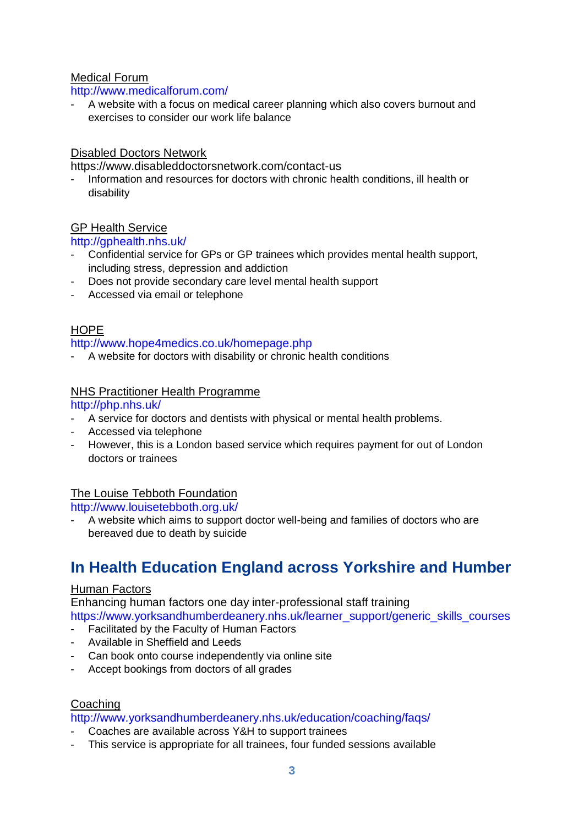### Medical Forum

### <http://www.medicalforum.com/>

- A website with a focus on medical career planning which also covers burnout and exercises to consider our work life balance

### Disabled Doctors Network

<https://www.disableddoctorsnetwork.com/contact-us>

- Information and resources for doctors with chronic health conditions, ill health or disability

### GP Health Service

### <http://gphealth.nhs.uk/>

- Confidential service for GPs or GP trainees which provides mental health support, including stress, depression and addiction
- Does not provide secondary care level mental health support
- Accessed via email or telephone

### HOPE

#### <http://www.hope4medics.co.uk/homepage.php>

A website for doctors with disability or chronic health conditions

### NHS Practitioner Health Programme

<http://php.nhs.uk/>

- A service for doctors and dentists with physical or mental health problems.
- Accessed via telephone
- However, this is a London based service which requires payment for out of London doctors or trainees

### The Louise Tebboth Foundation

<http://www.louisetebboth.org.uk/>

A website which aims to support doctor well-being and families of doctors who are bereaved due to death by suicide

### **In Health Education England across Yorkshire and Humber**

### Human Factors

Enhancing human factors one day inter-professional staff training

[https://www.yorksandhumberdeanery.nhs.uk/learner\\_support/generic\\_skills\\_courses](https://www.yorksandhumberdeanery.nhs.uk/learner_support/generic_skills_courses)

- Facilitated by the Faculty of Human Factors
- Available in Sheffield and Leeds
- Can book onto course independently via online site
- Accept bookings from doctors of all grades

### Coaching

<http://www.yorksandhumberdeanery.nhs.uk/education/coaching/faqs/>

- Coaches are available across Y&H to support trainees
- This service is appropriate for all trainees, four funded sessions available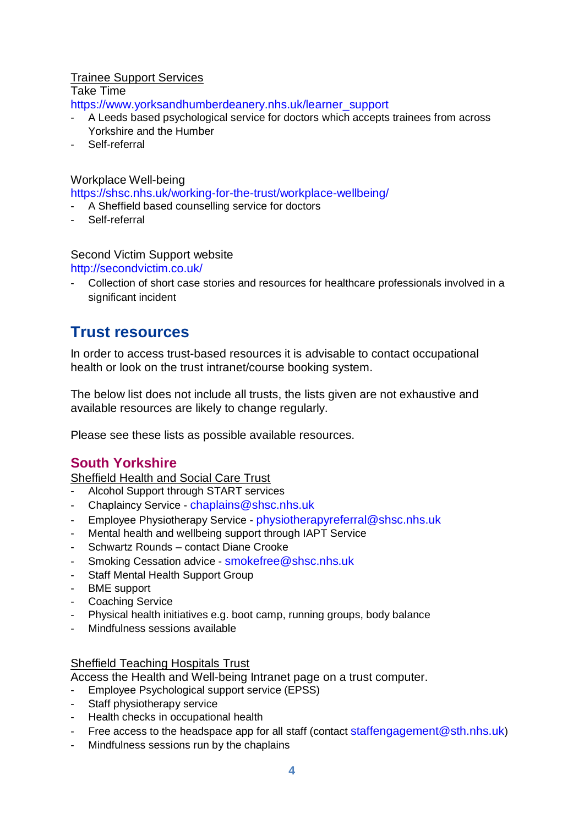### Trainee Support Services

Take Time

[https://www.yorksandhumberdeanery.nhs.uk/learner\\_support](https://www.yorksandhumberdeanery.nhs.uk/learner_support)

- A Leeds based psychological service for doctors which accepts trainees from across Yorkshire and the Humber
- Self-referral

### Workplace Well-being

<https://shsc.nhs.uk/working-for-the-trust/workplace-wellbeing/>

- A Sheffield based counselling service for doctors
- Self-referral

### Second Victim Support website

<http://secondvictim.co.uk/>

- Collection of short case stories and resources for healthcare professionals involved in a significant incident

### <span id="page-3-0"></span>**Trust resources**

In order to access trust-based resources it is advisable to contact occupational health or look on the trust intranet/course booking system.

The below list does not include all trusts, the lists given are not exhaustive and available resources are likely to change regularly.

Please see these lists as possible available resources.

### <span id="page-3-1"></span>**South Yorkshire**

Sheffield Health and Social Care Trust

- Alcohol Support through START services
- Chaplaincy Service [chaplains@shsc.nhs.uk](mailto:chaplains@shsc.nhs.uk)
- Employee Physiotherapy Service [physiotherapyreferral@shsc.nhs.uk](mailto:physiotherapyreferral@shsc.nhs.uk)
- Mental health and wellbeing support through IAPT Service
- Schwartz Rounds contact Diane Crooke
- Smoking Cessation advice [smokefree@shsc.nhs.uk](mailto:smokefree@shsc.nhs.uk)
- Staff Mental Health Support Group
- BME support
- Coaching Service
- Physical health initiatives e.g. boot camp, running groups, body balance
- Mindfulness sessions available

### Sheffield Teaching Hospitals Trust

Access the Health and Well-being Intranet page on a trust computer.

- Employee Psychological support service (EPSS)
- Staff physiotherapy service
- Health checks in occupational health
- Free access to the headspace app for all staff (contact [staffengagement@sth.nhs.uk](mailto:staffengagement@sth.nhs.uk))
- Mindfulness sessions run by the chaplains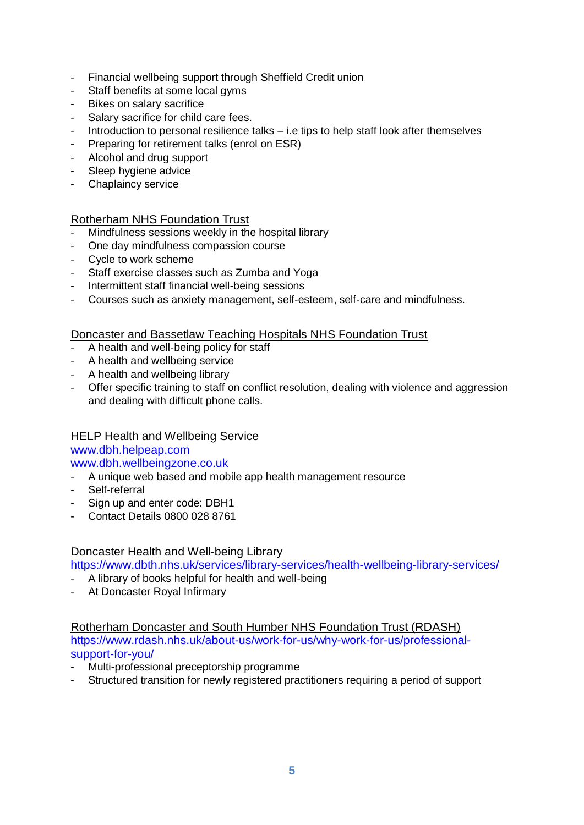- Financial wellbeing support through Sheffield Credit union
- Staff benefits at some local gyms
- Bikes on salary sacrifice
- Salary sacrifice for child care fees.
- Introduction to personal resilience talks i.e tips to help staff look after themselves
- Preparing for retirement talks (enrol on ESR)
- Alcohol and drug support
- Sleep hygiene advice
- Chaplaincy service

### Rotherham NHS Foundation Trust

- Mindfulness sessions weekly in the hospital library
- One day mindfulness compassion course
- Cycle to work scheme
- Staff exercise classes such as Zumba and Yoga
- Intermittent staff financial well-being sessions
- Courses such as anxiety management, self-esteem, self-care and mindfulness.

#### Doncaster and Bassetlaw Teaching Hospitals NHS Foundation Trust

- A health and well-being policy for staff
- A health and wellbeing service
- A health and wellbeing library
- Offer specific training to staff on conflict resolution, dealing with violence and aggression and dealing with difficult phone calls.

### HELP Health and Wellbeing Service

[www.dbh.helpeap.com](http://www.dbh.helpeap.com/) [www.dbh.wellbeingzone.co.uk](http://www.dbh.wellbeingzone.co.uk/)

- A unique web based and mobile app health management resource
- Self-referral
- Sign up and enter code: DBH1
- Contact Details 0800 028 8761

Doncaster Health and Well-being Library

<https://www.dbth.nhs.uk/services/library-services/health-wellbeing-library-services/>

- A library of books helpful for health and well-being
- At Doncaster Royal Infirmary

### Rotherham Doncaster and South Humber NHS Foundation Trust (RDASH)

[https://www.rdash.nhs.uk/about-us/work-for-us/why-work-for-us/professional](https://www.rdash.nhs.uk/about-us/work-for-us/why-work-for-us/professional-support-for-you/)[support-for-you/](https://www.rdash.nhs.uk/about-us/work-for-us/why-work-for-us/professional-support-for-you/)

- Multi-professional preceptorship programme
- Structured transition for newly registered practitioners requiring a period of support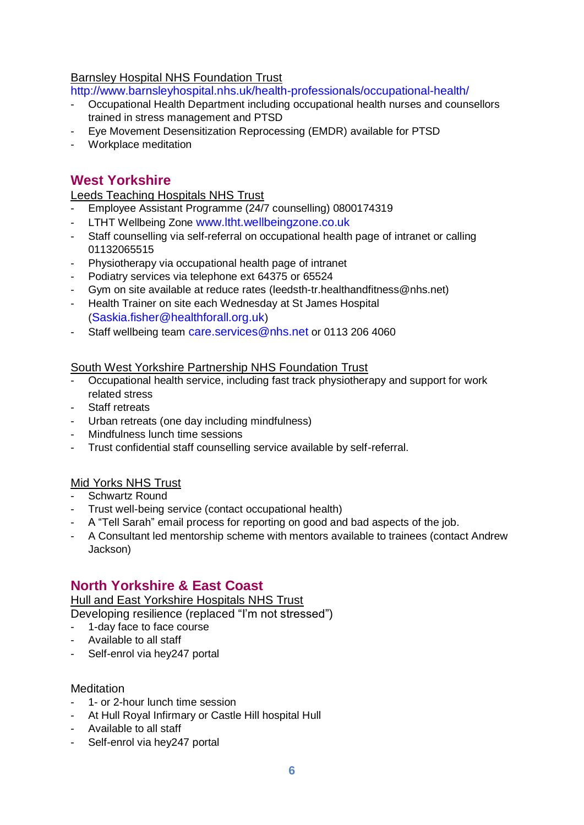### Barnsley Hospital NHS Foundation Trust

<http://www.barnsleyhospital.nhs.uk/health-professionals/occupational-health/>

- Occupational Health Department including occupational health nurses and counsellors trained in stress management and PTSD
- Eye Movement Desensitization Reprocessing (EMDR) available for PTSD
- Workplace meditation

### <span id="page-5-0"></span>**West Yorkshire**

Leeds Teaching Hospitals NHS Trust

- Employee Assistant Programme (24/7 counselling) 0800174319
- LTHT Wellbeing Zone [www.ltht.wellbeingzone.co.uk](http://www.ltht.wellbeingzone.co.uk/)
- Staff counselling via self-referral on occupational health page of intranet or calling 01132065515
- Physiotherapy via occupational health page of intranet
- Podiatry services via telephone ext 64375 or 65524
- Gym on site available at reduce rates (leedsth-tr.healthandfitness@nhs.net)
- Health Trainer on site each Wednesday at St James Hospital ([Saskia.fisher@healthforall.org.uk](mailto:Saskia.fisher@healthforall.org.uk))
- Staff wellbeing team [care.services@nhs.net](mailto:care.services@nhs.net) or 0113 206 4060

South West Yorkshire Partnership NHS Foundation Trust

- Occupational health service, including fast track physiotherapy and support for work related stress
- Staff retreats
- Urban retreats (one day including mindfulness)
- Mindfulness lunch time sessions
- Trust confidential staff counselling service available by self-referral.

### Mid Yorks NHS Trust

- Schwartz Round
- Trust well-being service (contact occupational health)
- A "Tell Sarah" email process for reporting on good and bad aspects of the job.
- A Consultant led mentorship scheme with mentors available to trainees (contact Andrew Jackson)

### <span id="page-5-1"></span>**North Yorkshire & East Coast**

Hull and East Yorkshire Hospitals NHS Trust

Developing resilience (replaced "I'm not stressed")

- 1-day face to face course
- Available to all staff
- Self-enrol via hey247 portal

#### **Meditation**

- 1- or 2-hour lunch time session
- At Hull Royal Infirmary or Castle Hill hospital Hull
- Available to all staff
- Self-enrol via hey247 portal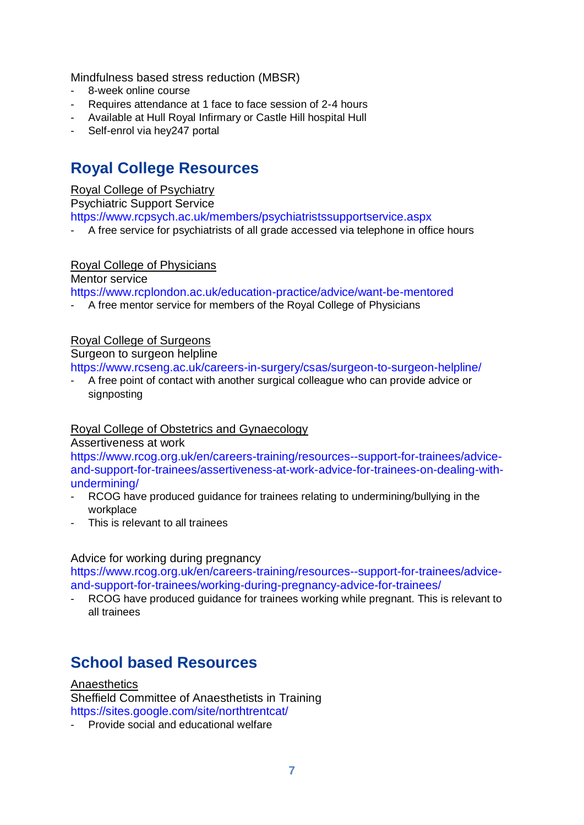Mindfulness based stress reduction (MBSR)

- 8-week online course
- Requires attendance at 1 face to face session of 2-4 hours
- Available at Hull Royal Infirmary or Castle Hill hospital Hull
- Self-enrol via hey247 portal

### <span id="page-6-0"></span>**Royal College Resources**

### Royal College of Psychiatry

Psychiatric Support Service

<https://www.rcpsych.ac.uk/members/psychiatristssupportservice.aspx>

A free service for psychiatrists of all grade accessed via telephone in office hours

### Royal College of Physicians

Mentor service

<https://www.rcplondon.ac.uk/education-practice/advice/want-be-mentored>

A free mentor service for members of the Royal College of Physicians

### Royal College of Surgeons

Surgeon to surgeon helpline

<https://www.rcseng.ac.uk/careers-in-surgery/csas/surgeon-to-surgeon-helpline/>

A free point of contact with another surgical colleague who can provide advice or signposting

### Royal College of Obstetrics and Gynaecology

Assertiveness at work

[https://www.rcog.org.uk/en/careers-training/resources--support-for-trainees/advice](https://www.rcog.org.uk/en/careers-training/resources--support-for-trainees/advice-and-support-for-trainees/assertiveness-at-work-advice-for-trainees-on-dealing-with-undermining/)[and-support-for-trainees/assertiveness-at-work-advice-for-trainees-on-dealing-with](https://www.rcog.org.uk/en/careers-training/resources--support-for-trainees/advice-and-support-for-trainees/assertiveness-at-work-advice-for-trainees-on-dealing-with-undermining/)[undermining/](https://www.rcog.org.uk/en/careers-training/resources--support-for-trainees/advice-and-support-for-trainees/assertiveness-at-work-advice-for-trainees-on-dealing-with-undermining/)

- RCOG have produced guidance for trainees relating to undermining/bullying in the workplace
- This is relevant to all trainees

### Advice for working during pregnancy

[https://www.rcog.org.uk/en/careers-training/resources--support-for-trainees/advice](https://www.rcog.org.uk/en/careers-training/resources--support-for-trainees/advice-and-support-for-trainees/working-during-pregnancy-advice-for-trainees/)[and-support-for-trainees/working-during-pregnancy-advice-for-trainees/](https://www.rcog.org.uk/en/careers-training/resources--support-for-trainees/advice-and-support-for-trainees/working-during-pregnancy-advice-for-trainees/)

- RCOG have produced guidance for trainees working while pregnant. This is relevant to all trainees

### <span id="page-6-1"></span>**School based Resources**

**Anaesthetics** Sheffield Committee of Anaesthetists in Training <https://sites.google.com/site/northtrentcat/>

- Provide social and educational welfare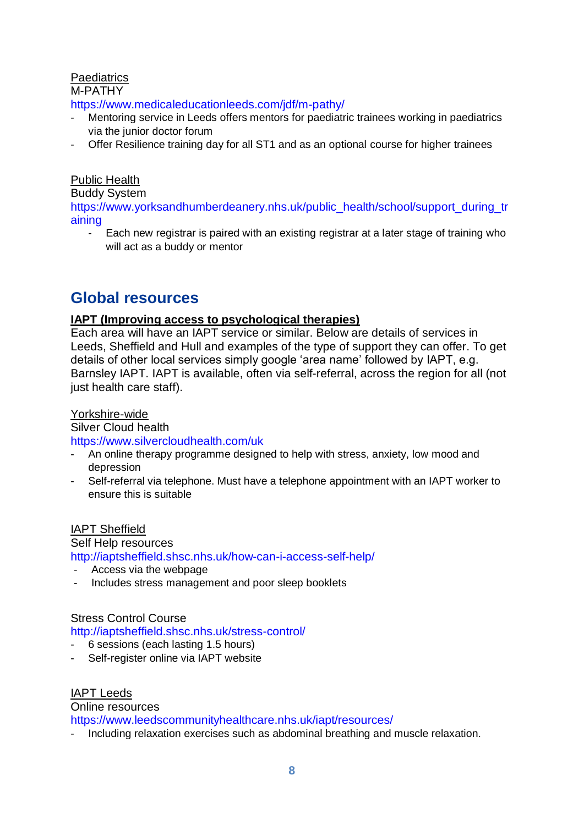### **Paediatrics**

M-PATHY

<https://www.medicaleducationleeds.com/jdf/m-pathy/>

- Mentoring service in Leeds offers mentors for paediatric trainees working in paediatrics via the junior doctor forum
- Offer Resilience training day for all ST1 and as an optional course for higher trainees

### Public Health

Buddy System

[https://www.yorksandhumberdeanery.nhs.uk/public\\_health/school/support\\_during\\_tr](https://www.yorksandhumberdeanery.nhs.uk/public_health/school/support_during_training) [aining](https://www.yorksandhumberdeanery.nhs.uk/public_health/school/support_during_training)

- Each new registrar is paired with an existing registrar at a later stage of training who will act as a buddy or mentor

### <span id="page-7-0"></span>**Global resources**

### **IAPT (Improving access to psychological therapies)**

Each area will have an IAPT service or similar. Below are details of services in Leeds, Sheffield and Hull and examples of the type of support they can offer. To get details of other local services simply google 'area name' followed by IAPT, e.g. Barnsley IAPT. IAPT is available, often via self-referral, across the region for all (not just health care staff).

### Yorkshire-wide

Silver Cloud health

<https://www.silvercloudhealth.com/uk>

- An online therapy programme designed to help with stress, anxiety, low mood and depression
- Self-referral via telephone. Must have a telephone appointment with an IAPT worker to ensure this is suitable

IAPT Sheffield

Self Help resources <http://iaptsheffield.shsc.nhs.uk/how-can-i-access-self-help/>

- Access via the webpage
- Includes stress management and poor sleep booklets

Stress Control Course

<http://iaptsheffield.shsc.nhs.uk/stress-control/>

- 6 sessions (each lasting 1.5 hours)
- Self-register online via IAPT website

IAPT Leeds

Online resources

<https://www.leedscommunityhealthcare.nhs.uk/iapt/resources/>

- Including relaxation exercises such as abdominal breathing and muscle relaxation.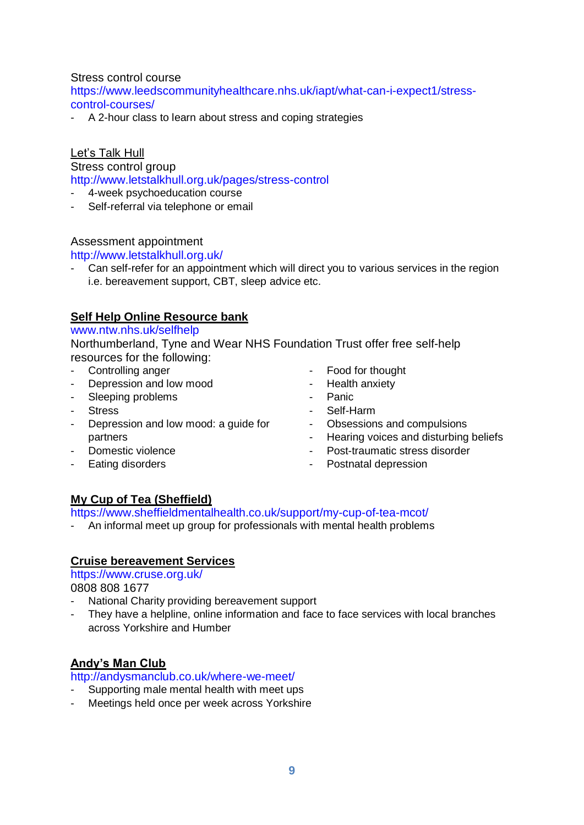### Stress control course

[https://www.leedscommunityhealthcare.nhs.uk/iapt/what-can-i-expect1/stress](https://www.leedscommunityhealthcare.nhs.uk/iapt/what-can-i-expect1/stress-control-courses/)[control-courses/](https://www.leedscommunityhealthcare.nhs.uk/iapt/what-can-i-expect1/stress-control-courses/)

- A 2-hour class to learn about stress and coping strategies

### Let's Talk Hull

Stress control group

<http://www.letstalkhull.org.uk/pages/stress-control>

- 4-week psychoeducation course
- Self-referral via telephone or email

### Assessment appointment

<http://www.letstalkhull.org.uk/>

Can self-refer for an appointment which will direct you to various services in the region i.e. bereavement support, CBT, sleep advice etc.

### **Self Help Online Resource bank**

#### [www.ntw.nhs.uk/selfhelp](http://www.ntw.nhs.uk/selfhelp)

Northumberland, Tyne and Wear NHS Foundation Trust offer free self-help resources for the following:

- Controlling anger
- Depression and low mood
- Sleeping problems
- Stress
- Depression and low mood: a guide for partners
- Domestic violence
- Eating disorders
- Food for thought
- Health anxiety
- Panic
- Self-Harm
- Obsessions and compulsions
- Hearing voices and disturbing beliefs
- Post-traumatic stress disorder
- Postnatal depression

### **My Cup of Tea (Sheffield)**

<https://www.sheffieldmentalhealth.co.uk/support/my-cup-of-tea-mcot/>

- An informal meet up group for professionals with mental health problems

### **Cruise bereavement Services**

<https://www.cruse.org.uk/>

0808 808 1677

- National Charity providing bereavement support
- They have a helpline, online information and face to face services with local branches across Yorkshire and Humber

### **Andy's Man Club**

<http://andysmanclub.co.uk/where-we-meet/>

- Supporting male mental health with meet ups
- Meetings held once per week across Yorkshire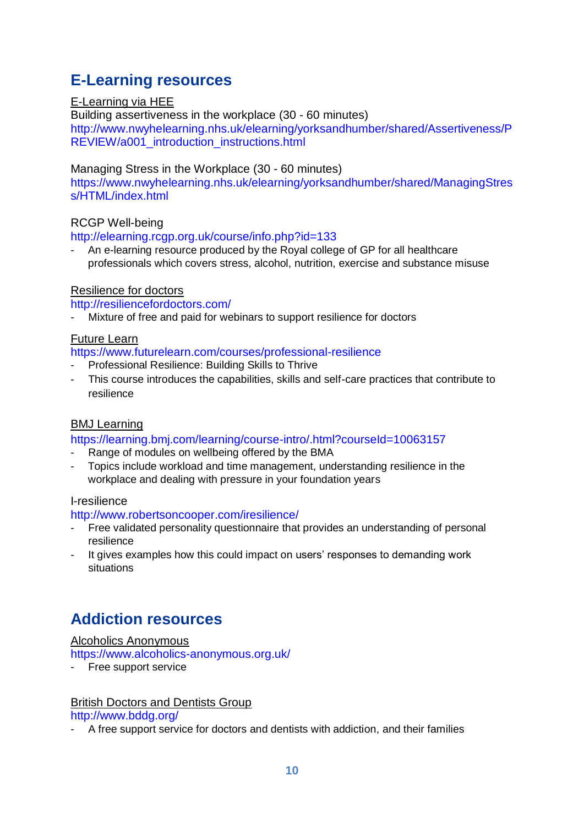### <span id="page-9-0"></span>**E-Learning resources**

### E-Learning via HEE

Building assertiveness in the workplace (30 - 60 minutes) [http://www.nwyhelearning.nhs.uk/elearning/yorksandhumber/shared/Assertiveness/P](http://www.nwyhelearning.nhs.uk/elearning/yorksandhumber/shared/Assertiveness/PREVIEW/a001_introduction_instructions.html) [REVIEW/a001\\_introduction\\_instructions.html](http://www.nwyhelearning.nhs.uk/elearning/yorksandhumber/shared/Assertiveness/PREVIEW/a001_introduction_instructions.html)

### Managing Stress in the Workplace (30 - 60 minutes)

[https://www.nwyhelearning.nhs.uk/elearning/yorksandhumber/shared/ManagingStres](https://www.nwyhelearning.nhs.uk/elearning/yorksandhumber/shared/ManagingStress/HTML/index.html) [s/HTML/index.html](https://www.nwyhelearning.nhs.uk/elearning/yorksandhumber/shared/ManagingStress/HTML/index.html)

### RCGP Well-being

#### <http://elearning.rcgp.org.uk/course/info.php?id=133>

An e-learning resource produced by the Royal college of GP for all healthcare professionals which covers stress, alcohol, nutrition, exercise and substance misuse

### Resilience for doctors

<http://resiliencefordoctors.com/>

Mixture of free and paid for webinars to support resilience for doctors

### Future Learn

<https://www.futurelearn.com/courses/professional-resilience>

- Professional Resilience: Building Skills to Thrive
- This course introduces the capabilities, skills and self-care practices that contribute to resilience

### BMJ Learning

<https://learning.bmj.com/learning/course-intro/.html?courseId=10063157>

- Range of modules on wellbeing offered by the BMA
- Topics include workload and time management, understanding resilience in the workplace and dealing with pressure in your foundation years

#### I-resilience

<http://www.robertsoncooper.com/iresilience/>

- Free validated personality questionnaire that provides an understanding of personal resilience
- It gives examples how this could impact on users' responses to demanding work situations

### <span id="page-9-1"></span>**Addiction resources**

### Alcoholics Anonymous

<https://www.alcoholics-anonymous.org.uk/>

Free support service

### British Doctors and Dentists Group

<http://www.bddg.org/>

- A free support service for doctors and dentists with addiction, and their families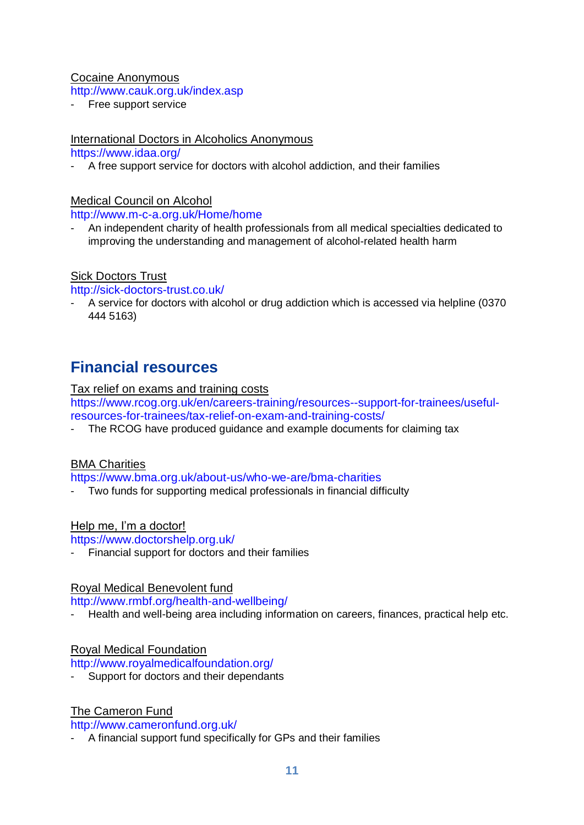### Cocaine Anonymous

<http://www.cauk.org.uk/index.asp>

Free support service

### International Doctors in Alcoholics Anonymous

<https://www.idaa.org/>

- A free support service for doctors with alcohol addiction, and their families

### Medical Council on Alcohol

<http://www.m-c-a.org.uk/Home/home>

- An independent charity of health professionals from all medical specialties dedicated to improving the understanding and management of alcohol-related health harm

### Sick Doctors Trust

<http://sick-doctors-trust.co.uk/>

- A service for doctors with alcohol or drug addiction which is accessed via helpline (0370 444 5163)

### <span id="page-10-0"></span>**Financial resources**

#### Tax relief on exams and training costs

[https://www.rcog.org.uk/en/careers-training/resources--support-for-trainees/useful](https://www.rcog.org.uk/en/careers-training/resources--support-for-trainees/useful-resources-for-trainees/tax-relief-on-exam-and-training-costs/)[resources-for-trainees/tax-relief-on-exam-and-training-costs/](https://www.rcog.org.uk/en/careers-training/resources--support-for-trainees/useful-resources-for-trainees/tax-relief-on-exam-and-training-costs/)

- The RCOG have produced guidance and example documents for claiming tax

### BMA Charities

<https://www.bma.org.uk/about-us/who-we-are/bma-charities>

- Two funds for supporting medical professionals in financial difficulty

### Help me, I'm a doctor!

<https://www.doctorshelp.org.uk/>

Financial support for doctors and their families

### Royal Medical Benevolent fund

#### <http://www.rmbf.org/health-and-wellbeing/>

Health and well-being area including information on careers, finances, practical help etc.

### Royal Medical Foundation

<http://www.royalmedicalfoundation.org/>

Support for doctors and their dependants

### The Cameron Fund

<http://www.cameronfund.org.uk/>

- A financial support fund specifically for GPs and their families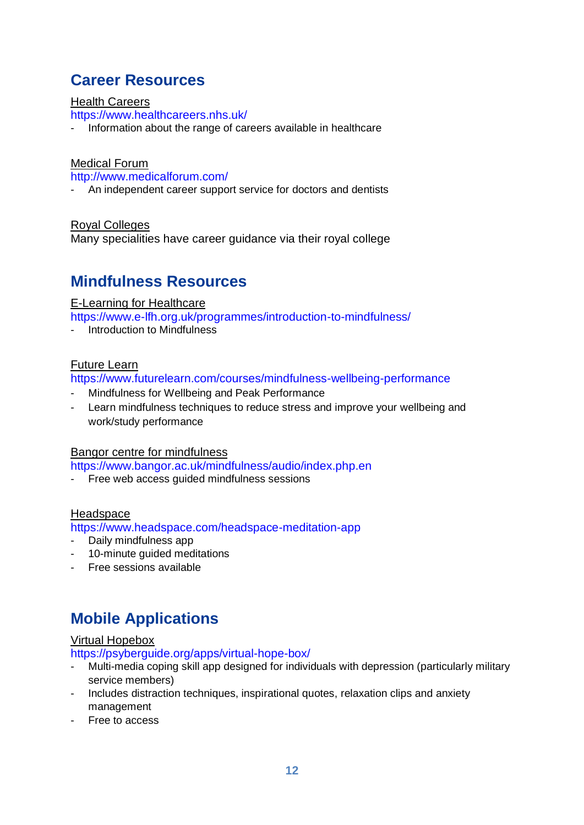### <span id="page-11-0"></span>**Career Resources**

#### Health Careers

<https://www.healthcareers.nhs.uk/>

- Information about the range of careers available in healthcare

#### Medical Forum

<http://www.medicalforum.com/>

An independent career support service for doctors and dentists

Royal Colleges

Many specialities have career guidance via their royal college

### <span id="page-11-1"></span>**Mindfulness Resources**

#### E-Learning for Healthcare

<https://www.e-lfh.org.uk/programmes/introduction-to-mindfulness/>

**Introduction to Mindfulness** 

### Future Learn

<https://www.futurelearn.com/courses/mindfulness-wellbeing-performance>

- Mindfulness for Wellbeing and Peak Performance
- Learn mindfulness techniques to reduce stress and improve your wellbeing and work/study performance

### Bangor centre for mindfulness

<https://www.bangor.ac.uk/mindfulness/audio/index.php.en>

Free web access quided mindfulness sessions

#### Headspace

<https://www.headspace.com/headspace-meditation-app>

- Daily mindfulness app
- 10-minute guided meditations
- Free sessions available

### <span id="page-11-2"></span>**Mobile Applications**

### Virtual Hopebox

<https://psyberguide.org/apps/virtual-hope-box/>

- Multi-media coping skill app designed for individuals with depression (particularly military service members)
- Includes distraction techniques, inspirational quotes, relaxation clips and anxiety management
- Free to access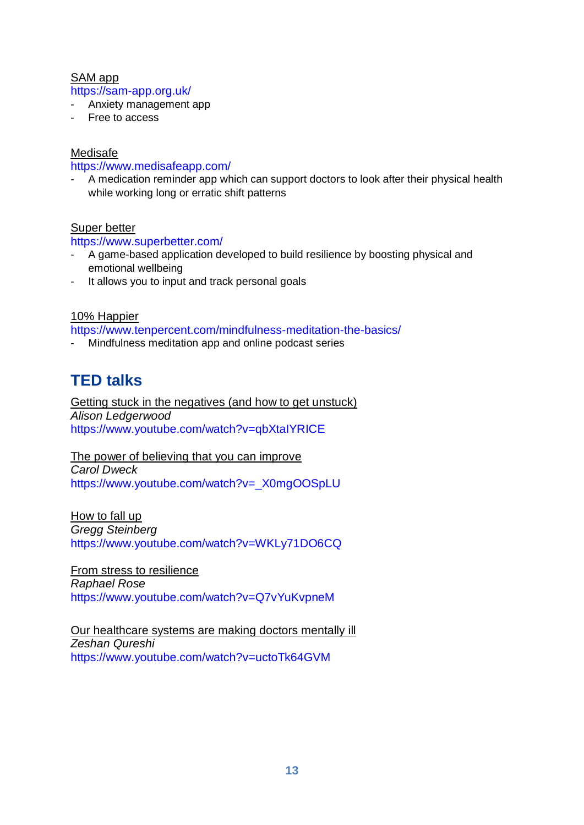### SAM app

<https://sam-app.org.uk/>

- Anxiety management app
- Free to access

### Medisafe

<https://www.medisafeapp.com/>

A medication reminder app which can support doctors to look after their physical health while working long or erratic shift patterns

### Super better

### <https://www.superbetter.com/>

- A game-based application developed to build resilience by boosting physical and emotional wellbeing
- It allows you to input and track personal goals

### 10% Happier

<https://www.tenpercent.com/mindfulness-meditation-the-basics/>

- Mindfulness meditation app and online podcast series

### <span id="page-12-0"></span>**TED talks**

Getting stuck in the negatives (and how to get unstuck) *Alison Ledgerwood* <https://www.youtube.com/watch?v=qbXtaIYRICE>

The power of believing that you can improve *Carol Dweck* [https://www.youtube.com/watch?v=\\_X0mgOOSpLU](https://www.youtube.com/watch?v=_X0mgOOSpLU)

How to fall up *Gregg Steinberg* <https://www.youtube.com/watch?v=WKLy71DO6CQ>

From stress to resilience *Raphael Rose* <https://www.youtube.com/watch?v=Q7vYuKvpneM>

Our healthcare systems are making doctors mentally ill *Zeshan Qureshi* <https://www.youtube.com/watch?v=uctoTk64GVM>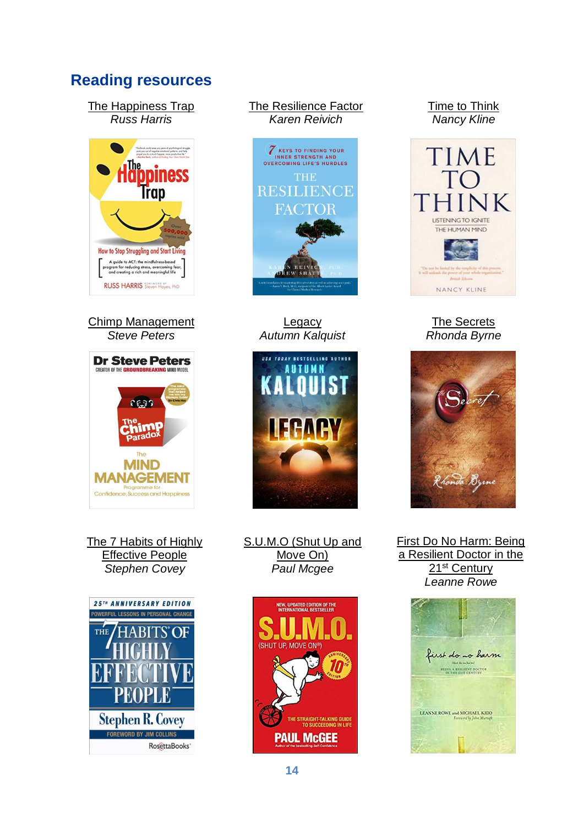### <span id="page-13-0"></span>**Reading resources**

The Happiness Trap *Russ Harris*



Chimp Management *Steve Peters*



The 7 Habits of Highly Effective People *Stephen Covey*



### The Resilience Factor *Karen Reivich*



**Legacy** *Autumn Kalquist*



S.U.M.O (Shut Up and Move On) *Paul Mcgee*



#### Time to Think *Nancy Kline*



The Secrets *Rhonda Byrne*



First Do No Harm: Being a Resilient Doctor in the 21st Century *Leanne Rowe*

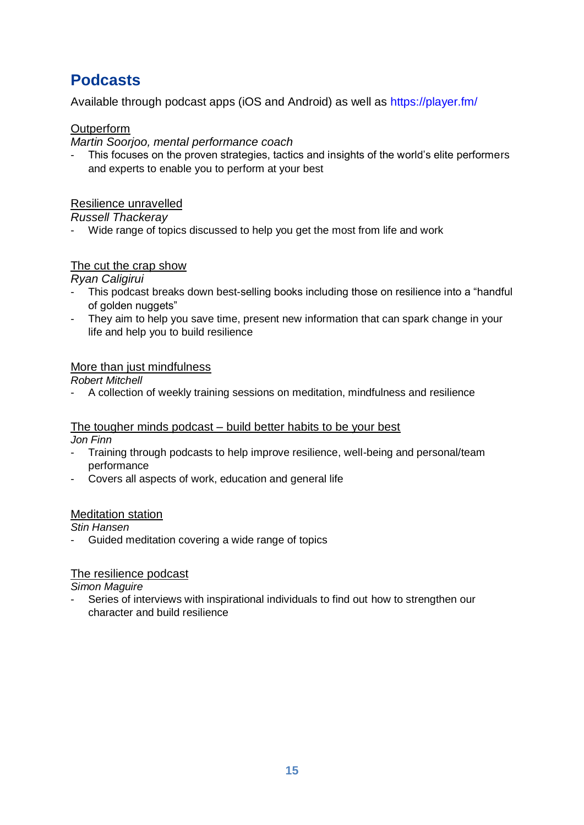### <span id="page-14-0"></span>**Podcasts**

Available through podcast apps (iOS and Android) as well as<https://player.fm/>

### **Outperform**

*Martin Soorjoo, mental performance coach*

This focuses on the proven strategies, tactics and insights of the world's elite performers and experts to enable you to perform at your best

### Resilience unravelled

*Russell Thackeray*

- Wide range of topics discussed to help you get the most from life and work

### The cut the crap show

*Ryan Caligirui*

- This podcast breaks down best-selling books including those on resilience into a "handful of golden nuggets"
- They aim to help you save time, present new information that can spark change in your life and help you to build resilience

### More than just mindfulness

*Robert Mitchell*

- A collection of weekly training sessions on meditation, mindfulness and resilience

### The tougher minds podcast – build better habits to be your best

*Jon Finn*

- Training through podcasts to help improve resilience, well-being and personal/team performance
- Covers all aspects of work, education and general life

### Meditation station

*Stin Hansen*

- Guided meditation covering a wide range of topics

### The resilience podcast

*Simon Maguire*

Series of interviews with inspirational individuals to find out how to strengthen our character and build resilience